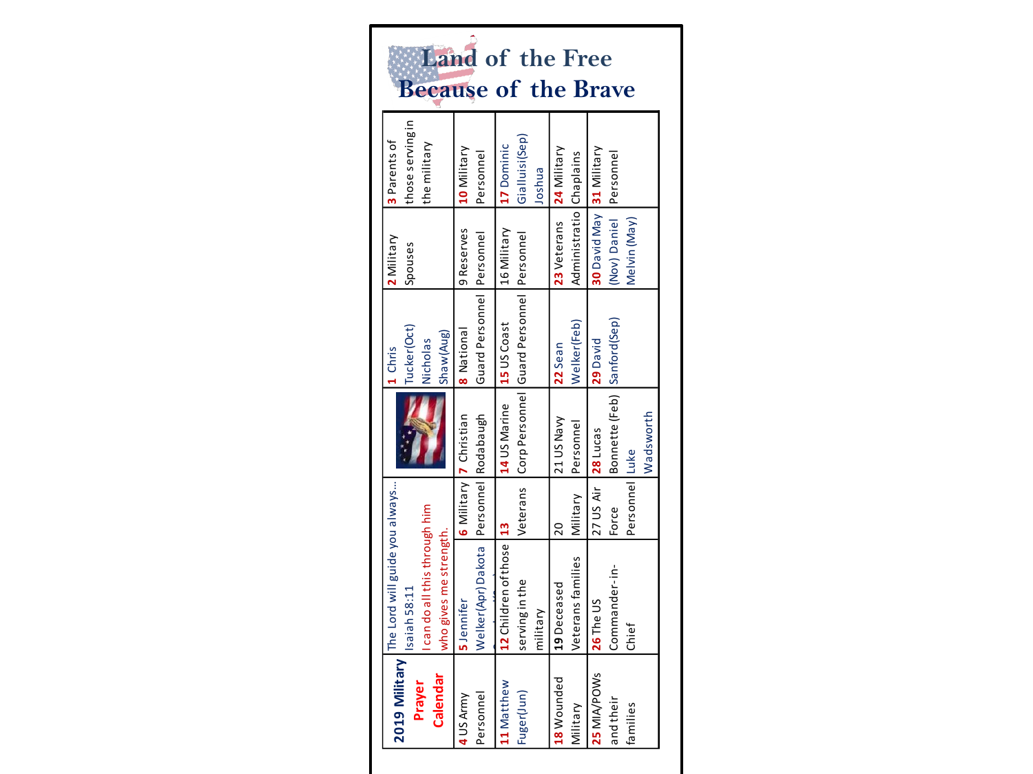| 2019 Military   | The Lord will guide you always         |                    |                             | 1 Chris                                           | 2 Military               | 3 Parents of     |                       |
|-----------------|----------------------------------------|--------------------|-----------------------------|---------------------------------------------------|--------------------------|------------------|-----------------------|
|                 | Isaiah 58:11                           |                    |                             | Tucker(Oct)                                       | Spouses                  | those serving in |                       |
| Prayer          | can do all this through him            |                    |                             | Nicholas                                          |                          | the military     |                       |
| Calendar        | who gives me strength.                 |                    |                             | Shaw(Aug)                                         |                          |                  | Land<br><b>Becaus</b> |
| 4 US Army       | 5 Jennifer                             |                    | 6 Military 7 Christian      | 8 National                                        | 9 Reserves               | 10 Military      |                       |
| Personnel       | Welker(Apr) Dakota Personnel Rodabaugh |                    |                             | Guard Personnel Personnel                         |                          | Personnel        |                       |
| 11 Matthew      | 12 Children of those 13                |                    | 14 US Marine                | 15 US Coast                                       | 16 Military              | 17 Dominic       |                       |
| Fuger(Jun)      | serving in the                         |                    |                             | Veterans Corp Personnel Guard Personnel Personnel |                          | Gialluisi(Sep)   |                       |
|                 | military                               |                    |                             |                                                   |                          | Joshua           |                       |
| 18 Wounded      | 19 Deceased                            | $\overline{20}$    | 21 US Navy                  | 22 Sean                                           | 23 Veterans 24 Military  |                  |                       |
| <b>Military</b> | Veterans families                      | Military           | Personnel                   | Welker(Feb)                                       | Administratio Chaplains  |                  |                       |
| 25 MIA/POWs     | 26 The US                              | 27 US Air 28 Lucas |                             | 29 David                                          | 30 David May 31 Military |                  |                       |
| and their       | Commander-in-                          | Force              | Bonnette (Feb) Sanford(Sep) |                                                   | (Nov) Daniel Personnel   |                  |                       |
| families        | Chief                                  | Personnel Luke     |                             |                                                   | Melvin (May)             |                  |                       |
|                 |                                        |                    | Wadsworth                   |                                                   |                          |                  |                       |
|                 |                                        |                    |                             |                                                   |                          |                  |                       |